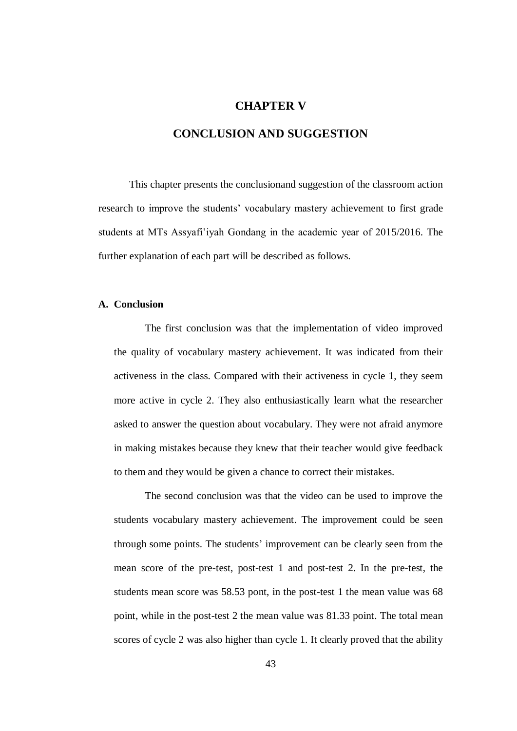## **CHAPTER V**

## **CONCLUSION AND SUGGESTION**

This chapter presents the conclusionand suggestion of the classroom action research to improve the students' vocabulary mastery achievement to first grade students at MTs Assyafi'iyah Gondang in the academic year of 2015/2016. The further explanation of each part will be described as follows.

## **A. Conclusion**

The first conclusion was that the implementation of video improved the quality of vocabulary mastery achievement. It was indicated from their activeness in the class. Compared with their activeness in cycle 1, they seem more active in cycle 2. They also enthusiastically learn what the researcher asked to answer the question about vocabulary. They were not afraid anymore in making mistakes because they knew that their teacher would give feedback to them and they would be given a chance to correct their mistakes.

The second conclusion was that the video can be used to improve the students vocabulary mastery achievement. The improvement could be seen through some points. The students' improvement can be clearly seen from the mean score of the pre-test, post-test 1 and post-test 2. In the pre-test, the students mean score was 58.53 pont, in the post-test 1 the mean value was 68 point, while in the post-test 2 the mean value was 81.33 point. The total mean scores of cycle 2 was also higher than cycle 1. It clearly proved that the ability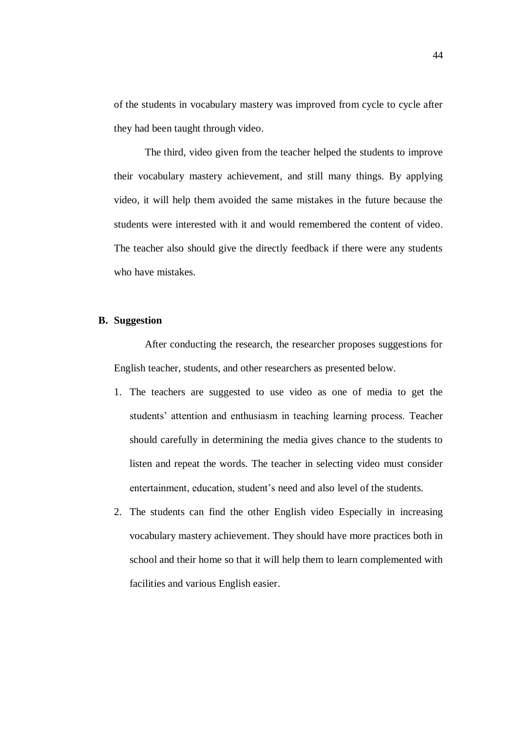of the students in vocabulary mastery was improved from cycle to cycle after they had been taught through video.

The third, video given from the teacher helped the students to improve their vocabulary mastery achievement, and still many things. By applying video, it will help them avoided the same mistakes in the future because the students were interested with it and would remembered the content of video. The teacher also should give the directly feedback if there were any students who have mistakes.

## **B. Suggestion**

After conducting the research, the researcher proposes suggestions for English teacher, students, and other researchers as presented below.

- 1. The teachers are suggested to use video as one of media to get the students' attention and enthusiasm in teaching learning process. Teacher should carefully in determining the media gives chance to the students to listen and repeat the words. The teacher in selecting video must consider entertainment, education, student's need and also level of the students.
- 2. The students can find the other English video Especially in increasing vocabulary mastery achievement. They should have more practices both in school and their home so that it will help them to learn complemented with facilities and various English easier.